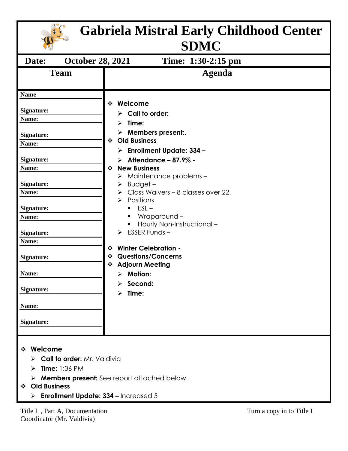| <b>Gabriela Mistral Early Childhood Center</b><br><b>SDMC</b>                                                                                                                                                                                                      |                                                                                                                                                                                                                                                                                                                                                                                                                                                                                                                                                                                                                    |                           |  |
|--------------------------------------------------------------------------------------------------------------------------------------------------------------------------------------------------------------------------------------------------------------------|--------------------------------------------------------------------------------------------------------------------------------------------------------------------------------------------------------------------------------------------------------------------------------------------------------------------------------------------------------------------------------------------------------------------------------------------------------------------------------------------------------------------------------------------------------------------------------------------------------------------|---------------------------|--|
| Date:<br><b>October 28, 2021</b>                                                                                                                                                                                                                                   | Time: 1:30-2:15 pm                                                                                                                                                                                                                                                                                                                                                                                                                                                                                                                                                                                                 |                           |  |
| <b>Team</b>                                                                                                                                                                                                                                                        | <b>Agenda</b>                                                                                                                                                                                                                                                                                                                                                                                                                                                                                                                                                                                                      |                           |  |
| <b>Name</b><br><b>Signature:</b><br>Name:<br><b>Signature:</b><br>Name:<br><b>Signature:</b><br>Name:<br><b>Signature:</b><br>Name:<br><b>Signature:</b><br>Name:<br><b>Signature:</b><br>Name:<br><b>Signature:</b><br>Name:<br>Signature:<br>Name:<br>Signature: | Welcome<br>❖<br>$\triangleright$ Call to order:<br>$\triangleright$ Time:<br>$\triangleright$ Members present:.<br><b>Old Business</b><br>$\frac{1}{2}$<br><b>Enrollment Update: 334 -</b><br>➤<br>Attendance - 87.9% -<br>➤<br><b>New Business</b><br>❖<br>Maintenance problems –<br>➤<br>$B$ udget –<br>≻<br>Class Waivers - 8 classes over 22.<br>Positions<br>$ESL -$<br>Wraparound –<br>Hourly Non-Instructional-<br>$\triangleright$ ESSER Funds -<br><b>Winter Celebration -</b><br>❖<br><b>Questions/Concerns</b><br>❖<br><b>Adjourn Meeting</b><br>❖<br>$\triangleright$ Motion:<br>Second:<br>≻<br>Time: |                           |  |
| ❖ Welcome<br>$\triangleright$ Call to order: Mr. Valdivia<br><b>Time: 1:36 PM</b><br>⋗<br><b>Old Business</b><br>$\cdot$<br><b>Enrollment Update: 334 - Increased 5</b><br>≻                                                                                       | $\triangleright$ <b>Members present:</b> See report attached below.                                                                                                                                                                                                                                                                                                                                                                                                                                                                                                                                                |                           |  |
| Title I, Part A, Documentation                                                                                                                                                                                                                                     |                                                                                                                                                                                                                                                                                                                                                                                                                                                                                                                                                                                                                    | Turn a copy in to Title I |  |

Coordinator (Mr. Valdivia)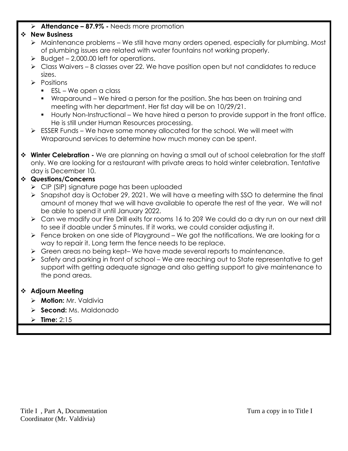## ➢ **Attendance – 87.9% -** Needs more promotion

## ❖ **New Business**

- ➢ Maintenance problems We still have many orders opened, especially for plumbing. Most of plumbing issues are related with water fountains not working properly.
- $\triangleright$  Budget 2,000.00 left for operations.
- $\triangleright$  Class Waivers 8 classes over 22. We have position open but not candidates to reduce sizes.
- ➢ Positions
	- ESL We open a class
	- Wraparound We hired a person for the position. She has been on training and meeting with her department. Her fist day will be on 10/29/21.
	- Hourly Non-Instructional We have hired a person to provide support in the front office. He is still under Human Resources processing.
- $\triangleright$  ESSER Funds We have some money allocated for the school. We will meet with Wraparound services to determine how much money can be spent.
- ❖ **Winter Celebration -** We are planning on having a small out of school celebration for the staff only. We are looking for a restaurant with private areas to hold winter celebration. Tentative day is December 10.

## ❖ **Questions/Concerns**

- ➢ CIP (SIP) signature page has been uploaded
- ➢ Snapshot day is October 29, 2021. We will have a meeting with SSO to determine the final amount of money that we will have available to operate the rest of the year. We will not be able to spend it until January 2022.
- ➢ Can we modify our Fire Drill exits for rooms 16 to 20? We could do a dry run on our next drill to see if doable under 5 minutes. If it works, we could consider adjusting it.
- ➢ Fence broken on one side of Playground We got the notifications. We are looking for a way to repair it. Long term the fence needs to be replace.
- ➢ Green areas no being kept– We have made several reports to maintenance.
- ➢ Safety and parking in front of school We are reaching out to State representative to get support with getting adequate signage and also getting support to give maintenance to the pond areas.

## ❖ **Adjourn Meeting**

- ➢ **Motion:** Mr. Valdivia
- ➢ **Second:** Ms. Maldonado
- ➢ **Time:** 2:15